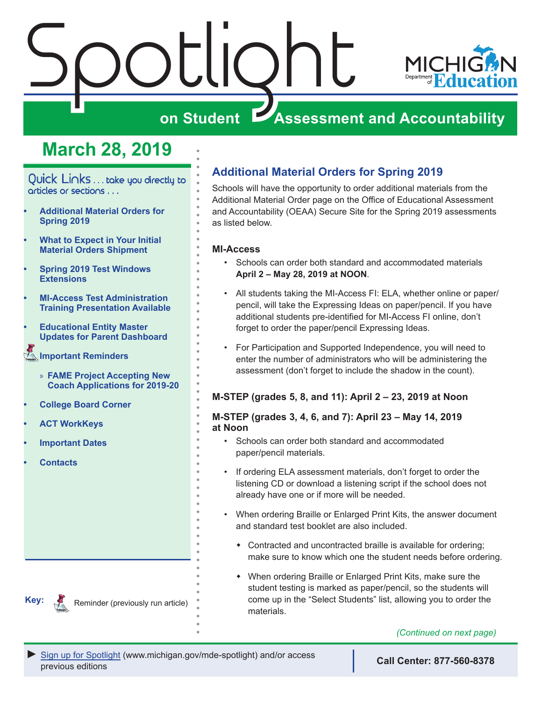# Spotlight **MICHI on Student Assessment and Accountability**

# **March 28, 2019**

<span id="page-0-0"></span>Quick Links . . . take you directly to articles or sections . . .

- **• Additional Material Orders for Spring 2019**
- **• [What to Expect in Your Initial](#page-1-0)  [Material Orders Shipment](#page-1-0)**
- **• [Spring 2019 Test Windows](#page-3-0)  [Extensions](#page-3-0)**
- **• [MI-Access Test Administration](#page-3-0)  [Training Presentation Available](#page-3-0)**
- **• [Educational Entity Master](#page-4-0)  [Updates for Parent Dashboard](#page-4-0)**
- **[Important Reminders](#page-4-0)** 
	- » **[FAME Project Accepting New](#page-4-0)  [Coach Applications for 2019-20](#page-4-0)**
- **• [College Board Corner](#page-5-0)**
- **• [ACT WorkKeys](#page-6-0)**
- **• [Important Dates](#page-8-0)**
- **• [Contacts](#page-10-0)**

**Additional Material Orders for Spring 2019**

Schools will have the opportunity to order additional materials from the Additional Material Order page on the Office of Educational Assessment and Accountability (OEAA) Secure Site for the Spring 2019 assessments as listed below.

### **MI-Access**

- Schools can order both standard and accommodated materials **April 2 – May 28, 2019 at NOON**.
- All students taking the MI-Access FI: ELA, whether online or paper/ pencil, will take the Expressing Ideas on paper/pencil. If you have additional students pre-identified for MI-Access FI online, don't forget to order the paper/pencil Expressing Ideas.
- For Participation and Supported Independence, you will need to enter the number of administrators who will be administering the assessment (don't forget to include the shadow in the count).

### **M-STEP (grades 5, 8, and 11): April 2 – 23, 2019 at Noon**

### **M-STEP (grades 3, 4, 6, and 7): April 23 – May 14, 2019 at Noon**

- Schools can order both standard and accommodated paper/pencil materials.
- If ordering ELA assessment materials, don't forget to order the listening CD or download a listening script if the school does not already have one or if more will be needed.
- When ordering Braille or Enlarged Print Kits, the answer document and standard test booklet are also included.
	- Contracted and uncontracted braille is available for ordering; make sure to know which one the student needs before ordering.
	- When ordering Braille or Enlarged Print Kits, make sure the student testing is marked as paper/pencil, so the students will come up in the "Select Students" list, allowing you to order the materials.

### *(Continued on next page)*



Reminder (previously run article)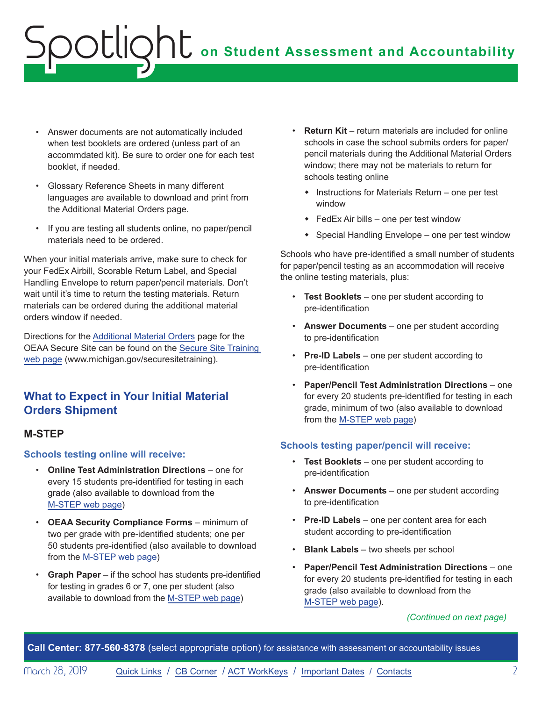- <span id="page-1-0"></span>• Answer documents are not automatically included when test booklets are ordered (unless part of an accommdated kit). Be sure to order one for each test booklet, if needed.
- Glossary Reference Sheets in many different languages are available to download and print from the Additional Material Orders page.
- If you are testing all students online, no paper/pencil materials need to be ordered.

When your initial materials arrive, make sure to check for your FedEx Airbill, Scorable Return Label, and Special Handling Envelope to return paper/pencil materials. Don't wait until it's time to return the testing materials. Return materials can be ordered during the additional material orders window if needed.

Directions for the [Additional Material Orders](https://www.michigan.gov/documents/mde/additional_material_order_quick_reference_554554_7.pdf) page for the OEAA Secure Site can be found on the [Secure Site Training](http://www.michigan.gov/securesitetraining)  [web page](http://www.michigan.gov/securesitetraining) (www.michigan.gov/securesitetraining).

## **What to Expect in Your Initial Material Orders Shipment**

### **M-STEP**

**Schools testing online will receive:**

- **Online Test Administration Directions** one for every 15 students pre-identified for testing in each grade (also available to download from the [M-STEP web page\)](www.michigan.gov/mstep)
- **OEAA Security Compliance Forms** minimum of two per grade with pre-identified students; one per 50 students pre-identified (also available to download from the [M-STEP web page](www.michigan.gov/mstep))
- **Graph Paper** if the school has students pre-identified for testing in grades 6 or 7, one per student (also available to download from the [M-STEP web page\)](www.michigan.gov/mstep)
- **Return Kit** return materials are included for online schools in case the school submits orders for paper/ pencil materials during the Additional Material Orders window; there may not be materials to return for schools testing online
	- $\bullet$  Instructions for Materials Return one per test window
	- $\bullet$  FedEx Air bills one per test window
	- $\bullet$  Special Handling Envelope one per test window

Schools who have pre-identified a small number of students for paper/pencil testing as an accommodation will receive the online testing materials, plus:

- **Test Booklets** one per student according to pre-identification
- **Answer Documents**  one per student according to pre-identification
- **Pre-ID Labels** one per student according to pre-identification
- **Paper/Pencil Test Administration Directions** one for every 20 students pre-identified for testing in each grade, minimum of two (also available to download from the [M-STEP web page](www.michigan.gov/mstep))

### **Schools testing paper/pencil will receive:**

- **Test Booklets** one per student according to pre-identification
- **Answer Documents** one per student according to pre-identification
- **Pre-ID Labels** one per content area for each student according to pre-identification
- **Blank Labels** two sheets per school
- **Paper/Pencil Test Administration Directions** one for every 20 students pre-identified for testing in each grade (also available to download from the [M-STEP web page\)](www.michigan.gov/mstep).

#### *(Continued on next page)*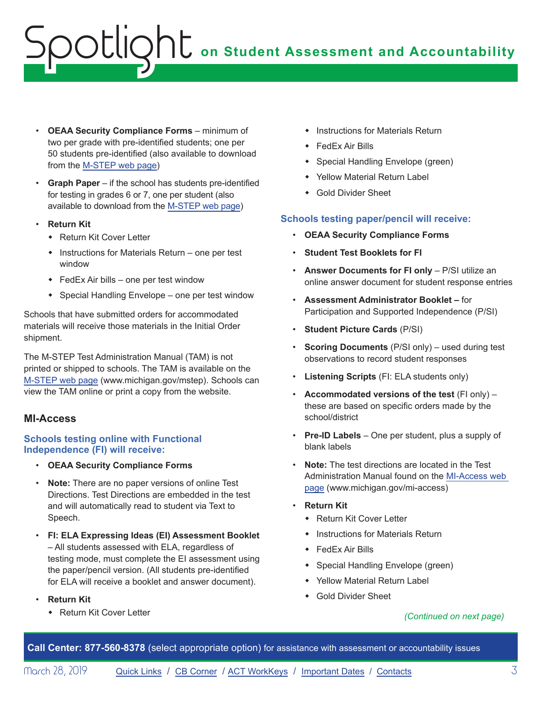- **OEAA Security Compliance Forms** minimum of two per grade with pre-identified students; one per 50 students pre-identified (also available to download from the [M-STEP web page](www.michigan.gov/mstep))
- **Graph Paper** if the school has students pre-identified for testing in grades 6 or 7, one per student (also available to download from the [M-STEP web page\)](www.michigan.gov/mstep)
- **Return Kit**
	- Return Kit Cover Letter
	- $\bullet$  Instructions for Materials Return one per test window
	- $\bullet$  FedEx Air bills one per test window
	- $\bullet$  Special Handling Envelope one per test window

Schools that have submitted orders for accommodated materials will receive those materials in the Initial Order shipment.

The M-STEP Test Administration Manual (TAM) is not printed or shipped to schools. The TAM is available on the [M-STEP web page](www.michigan.gov/mstep) (www.michigan.gov/mstep). Schools can view the TAM online or print a copy from the website.

### **MI-Access**

### **Schools testing online with Functional Independence (FI) will receive:**

- **OEAA Security Compliance Forms**
- **Note:** There are no paper versions of online Test Directions. Test Directions are embedded in the test and will automatically read to student via Text to Speech.
- **FI: ELA Expressing Ideas (EI) Assessment Booklet** – All students assessed with ELA, regardless of testing mode, must complete the EI assessment using the paper/pencil version. (All students pre-identified for ELA will receive a booklet and answer document).
- **Return Kit**
	- **\*** Return Kit Cover Letter
- **\*** Instructions for Materials Return
- $\leftarrow$  FedEx Air Bills
- Special Handling Envelope (green)
- Yellow Material Return Label
- **Gold Divider Sheet**

### **Schools testing paper/pencil will receive:**

- **OEAA Security Compliance Forms**
- **Student Test Booklets for FI**
- **Answer Documents for FI only** P/SI utilize an online answer document for student response entries
- **Assessment Administrator Booklet** for Participation and Supported Independence (P/SI)
- **Student Picture Cards** (P/SI)
- **Scoring Documents** (P/SI only) used during test observations to record student responses
- **Listening Scripts** (FI: ELA students only)
- **Accommodated versions of the test** (FI only) these are based on specific orders made by the school/district
- **Pre-ID Labels** One per student, plus a supply of blank labels
- **Note:** The test directions are located in the Test Administration Manual found on the [MI-Access web](http://www.michigan.gov/mi-access)  [page](http://www.michigan.gov/mi-access) (www.michigan.gov/mi-access)
- **Return Kit**
	- Return Kit Cover Letter
	- $\bullet$  Instructions for Materials Return
	- $\leftarrow$  FedEx Air Bills
	- Special Handling Envelope (green)
	- ◆ Yellow Material Return Label
	- **Gold Divider Sheet**

### *(Continued on next page)*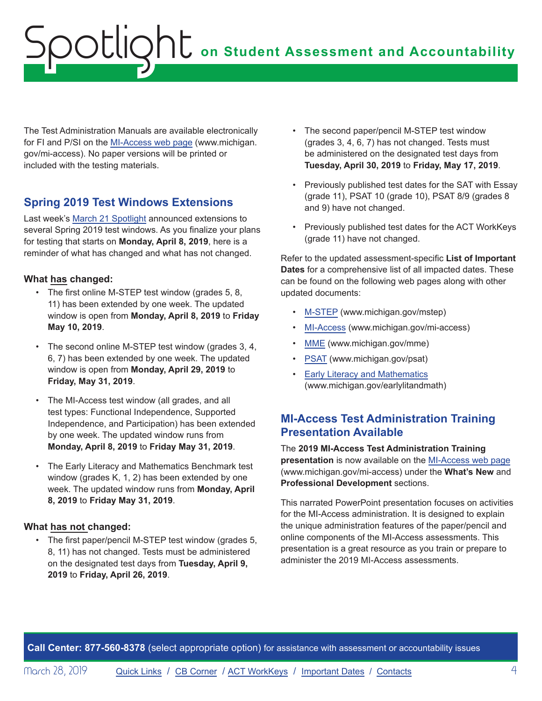<span id="page-3-0"></span>The Test Administration Manuals are available electronically for FI and P/SI on the [MI-Access web page](http://www.michigan.gov/mi-access) (www.michigan. gov/mi-access). No paper versions will be printed or included with the testing materials.

# **Spring 2019 Test Windows Extensions**

Last week's [March 21 Spotlight](https://www.michigan.gov/documents/mde/Spotlight_3-21-19_650049_7.pdf) announced extensions to several Spring 2019 test windows. As you finalize your plans for testing that starts on **Monday, April 8, 2019**, here is a reminder of what has changed and what has not changed.

### **What has changed:**

- The first online M-STEP test window (grades 5, 8, 11) has been extended by one week. The updated window is open from **Monday, April 8, 2019** to **Friday May 10, 2019**.
- The second online M-STEP test window (grades 3, 4, 6, 7) has been extended by one week. The updated window is open from **Monday, April 29, 2019** to **Friday, May 31, 2019**.
- The MI-Access test window (all grades, and all test types: Functional Independence, Supported Independence, and Participation) has been extended by one week. The updated window runs from **Monday, April 8, 2019** to **Friday May 31, 2019**.
- The Early Literacy and Mathematics Benchmark test window (grades K, 1, 2) has been extended by one week. The updated window runs from **Monday, April 8, 2019** to **Friday May 31, 2019**.

### **What has not changed:**

• The first paper/pencil M-STEP test window (grades 5, 8, 11) has not changed. Tests must be administered on the designated test days from **Tuesday, April 9, 2019** to **Friday, April 26, 2019**.

- The second paper/pencil M-STEP test window (grades 3, 4, 6, 7) has not changed. Tests must be administered on the designated test days from **Tuesday, April 30, 2019** to **Friday, May 17, 2019**.
- Previously published test dates for the SAT with Essay (grade 11), PSAT 10 (grade 10), PSAT 8/9 (grades 8 and 9) have not changed.
- Previously published test dates for the ACT WorkKeys (grade 11) have not changed.

Refer to the updated assessment-specific **List of Important Dates** for a comprehensive list of all impacted dates. These can be found on the following web pages along with other updated documents:

- [M-STEP](www.michigan.gov/mstep) (www.michigan.gov/mstep)
- [MI-Access](http://www.michigan.gov/mi-access) (www.michigan.gov/mi-access)
- [MME](www.michigan.gov/mme) (www.michigan.gov/mme)
- [PSAT](http://www.michigan.gov/psat) (www.michigan.gov/psat)
- [Early Literacy and Mathematics](www.michigan.gov/earlylitandmath) (www.michigan.gov/earlylitandmath)

## **MI-Access Test Administration Training Presentation Available**

### The **2019 MI-Access Test Administration Training**

**presentation** is now available on the [MI-Access web page](http://www.michigan.gov/mi-access) (www.michigan.gov/mi-access) under the **What's New** and **Professional Development** sections.

This narrated PowerPoint presentation focuses on activities for the MI-Access administration. It is designed to explain the unique administration features of the paper/pencil and online components of the MI-Access assessments. This presentation is a great resource as you train or prepare to administer the 2019 MI-Access assessments.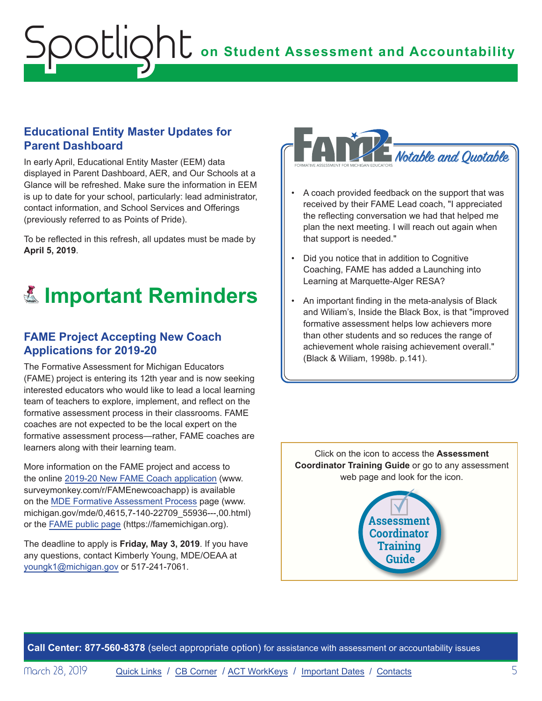## <span id="page-4-0"></span>**Educational Entity Master Updates for Parent Dashboard**

In early April, Educational Entity Master (EEM) data displayed in Parent Dashboard, AER, and Our Schools at a Glance will be refreshed. Make sure the information in EEM is up to date for your school, particularly: lead administrator, contact information, and School Services and Offerings (previously referred to as Points of Pride).

To be reflected in this refresh, all updates must be made by **April 5, 2019**.

# Reminders **Important Reminders**

## **FAME Project Accepting New Coach Applications for 2019-20**

The Formative Assessment for Michigan Educators (FAME) project is entering its 12th year and is now seeking interested educators who would like to lead a local learning team of teachers to explore, implement, and reflect on the formative assessment process in their classrooms. FAME coaches are not expected to be the local expert on the formative assessment process—rather, FAME coaches are learners along with their learning team.

More information on the FAME project and access to the online [2019-20 New FAME Coach application](https://www.surveymonkey.com/r/FAMEnewcoachapp) (www. surveymonkey.com/r/FAMEnewcoachapp) is available on the [MDE Formative Assessment Process](https://www.michigan.gov/mde/0,4615,7-140-22709_55936---,00.html) page (www. michigan.gov/mde/0,4615,7-140-22709\_55936---,00.html) or the FAME [public page](https://famemichigan.org/) (https://famemichigan.org).

The deadline to apply is **Friday, May 3, 2019**. If you have any questions, contact Kimberly Young, MDE/OEAA at [youngk1@michigan.gov](mailto:youngk1%40michigan.gov?subject=) or 517-241-7061.



- A coach provided feedback on the support that was received by their FAME Lead coach, "I appreciated the reflecting conversation we had that helped me plan the next meeting. I will reach out again when that support is needed."
- Did you notice that in addition to Cognitive Coaching, FAME has added a Launching into Learning at Marquette-Alger RESA?
- An important finding in the meta-analysis of Black and Wiliam's, Inside the Black Box, is that "improved formative assessment helps low achievers more than other students and so reduces the range of achievement whole raising achievement overall." (Black & Wiliam, 1998b. p.141).

Click on the icon to access the **Assessment Coordinator Training Guide** or go to any assessment web page and look for the icon.

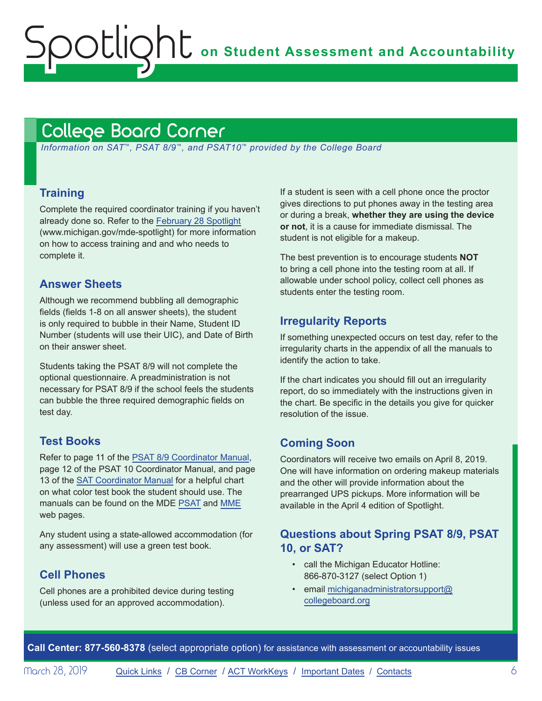# <span id="page-5-1"></span>College Board Corner

<span id="page-5-0"></span>Spotlight

 *Information on SAT*™*, PSAT 8/9*™*, and PSAT10*™ *provided by the College Board*

### **Training**

Complete the required coordinator training if you haven't already done so. Refer to the [February 28 Spotlight](https://www.michigan.gov/documents/mde/Spotlight_2-28-19_647776_7.pdf) (www.michigan.gov/mde-spotlight) for more information on how to access training and and who needs to complete it.

### **Answer Sheets**

Although we recommend bubbling all demographic fields (fields 1-8 on all answer sheets), the student is only required to bubble in their Name, Student ID Number (students will use their UIC), and Date of Birth on their answer sheet.

Students taking the PSAT 8/9 will not complete the optional questionnaire. A preadministration is not necessary for PSAT 8/9 if the school feels the students can bubble the three required demographic fields on test day.

### **Test Books**

Refer to page 11 of the [PSAT 8/9 Coordinator Manual,](https://www.michigan.gov/documents/mde/PSAT_8_9_Coordinator_Manual_644837_7.pdf) page 12 of the PSAT 10 Coordinator Manual, and page 13 of the [SAT Coordinator Manual](https://www.michigan.gov/documents/mde/2019_SAT_Coordinator__643784_7.pdf) for a helpful chart on what color test book the student should use. The manuals can be found on the MDE [PSAT](http://www.michigan.gov/psat) and [MME](www.michigan.gov/mme) web pages.

Any student using a state-allowed accommodation (for any assessment) will use a green test book.

### **Cell Phones**

Cell phones are a prohibited device during testing (unless used for an approved accommodation).

If a student is seen with a cell phone once the proctor gives directions to put phones away in the testing area or during a break, **whether they are using the device or not**, it is a cause for immediate dismissal. The student is not eligible for a makeup.

The best prevention is to encourage students **NOT** to bring a cell phone into the testing room at all. If allowable under school policy, collect cell phones as students enter the testing room.

### **Irregularity Reports**

If something unexpected occurs on test day, refer to the irregularity charts in the appendix of all the manuals to identify the action to take.

If the chart indicates you should fill out an irregularity report, do so immediately with the instructions given in the chart. Be specific in the details you give for quicker resolution of the issue.

### **Coming Soon**

Coordinators will receive two emails on April 8, 2019. One will have information on ordering makeup materials and the other will provide information about the prearranged UPS pickups. More information will be available in the April 4 edition of Spotlight.

### **Questions about Spring PSAT 8/9, PSAT 10, or SAT?**

- call the Michigan Educator Hotline: 866-870-3127 (select Option 1)
- email [michiganadministratorsupport@](mailto:michiganadministratorsupport%40collegeboard.org?subject=) [collegeboard.org](mailto:michiganadministratorsupport%40collegeboard.org?subject=)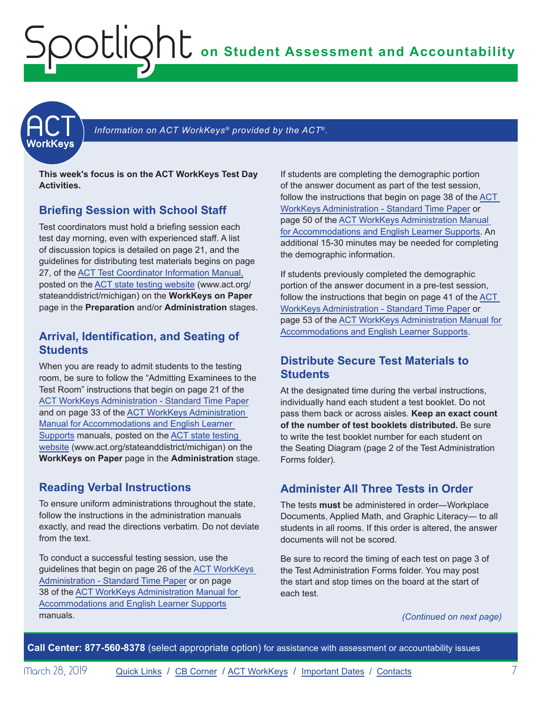<span id="page-6-1"></span><span id="page-6-0"></span>

Information on ACT WorkKeys<sup>®</sup> provided by the ACT<sup>®</sup>.

**This week's focus is on the ACT WorkKeys Test Day Activities.**

### **Briefing Session with School Staff**

Test coordinators must hold a briefing session each test day morning, even with experienced staff. A list of discussion topics is detailed on page 21, and the guidelines for distributing test materials begins on page 27, of the [ACT Test Coordinator Information Manual](https://www.act.org/content/dam/act/secured/documents/pdfs/state-district-test-coordinator-paper-test.pdf), posted on the [ACT state testing website](http://www.act.org/stateanddistrict/michigan) (www.act.org/ stateanddistrict/michigan) on the **WorkKeys on Paper** page in the **Preparation** and/or **Administration** stages.

### **Arrival, Identification, and Seating of Students**

When you are ready to admit students to the testing room, be sure to follow the "Admitting Examinees to the Test Room" instructions that begin on page 21 of the [ACT WorkKeys Administration - Standard Time Paper](http://www.act.org/content/dam/act/secured/documents/pdfs/WK-Admin-SD-Std-Time-Paper-Secured.pdf) and on page 33 of the [ACT WorkKeys Administration](http://www.act.org/content/dam/act/secured/documents/pdfs/WK-Admin-SD-Accoms-Secured.pdf)  [Manual for Accommodations and English Learner](http://www.act.org/content/dam/act/secured/documents/pdfs/WK-Admin-SD-Accoms-Secured.pdf)  [Supports](http://www.act.org/content/dam/act/secured/documents/pdfs/WK-Admin-SD-Accoms-Secured.pdf) manuals, posted on the [ACT state testing](http://www.act.org/stateanddistrict/michigan)  [website](http://www.act.org/stateanddistrict/michigan) (www.act.org/stateanddistrict/michigan) on the **WorkKeys on Paper** page in the **Administration** stage.

## **Reading Verbal Instructions**

To ensure uniform administrations throughout the state, follow the instructions in the administration manuals exactly, and read the directions verbatim. Do not deviate from the text.

To conduct a successful testing session, use the guidelines that begin on page 26 of the [ACT WorkKeys](http://www.act.org/content/dam/act/secured/documents/pdfs/WK-Admin-SD-Std-Time-Paper-Secured.pdf)  [Administration - Standard Time Paper](http://www.act.org/content/dam/act/secured/documents/pdfs/WK-Admin-SD-Std-Time-Paper-Secured.pdf) or on page 38 of the [ACT WorkKeys Administration Manual for](http://www.act.org/content/dam/act/secured/documents/pdfs/WK-Admin-SD-Accoms-Secured.pdf)  [Accommodations and English Learner Supports](http://www.act.org/content/dam/act/secured/documents/pdfs/WK-Admin-SD-Accoms-Secured.pdf) manuals.

If students are completing the demographic portion of the answer document as part of the test session, follow the instructions that begin on page 38 of the [ACT](http://www.act.org/content/dam/act/secured/documents/pdfs/WK-Admin-SD-Std-Time-Paper-Secured.pdf)  [WorkKeys Administration - Standard Time Paper](http://www.act.org/content/dam/act/secured/documents/pdfs/WK-Admin-SD-Std-Time-Paper-Secured.pdf) or page 50 of the [ACT WorkKeys Administration Manual](http://www.act.org/content/dam/act/secured/documents/pdfs/WK-Admin-SD-Accoms-Secured.pdf)  [for Accommodations and English Learner Supports.](http://www.act.org/content/dam/act/secured/documents/pdfs/WK-Admin-SD-Accoms-Secured.pdf) An additional 15-30 minutes may be needed for completing the demographic information.

If students previously completed the demographic portion of the answer document in a pre-test session, follow the instructions that begin on page 41 of the [ACT](http://www.act.org/content/dam/act/secured/documents/pdfs/WK-Admin-SD-Std-Time-Paper-Secured.pdf)  [WorkKeys Administration - Standard Time Paper](http://www.act.org/content/dam/act/secured/documents/pdfs/WK-Admin-SD-Std-Time-Paper-Secured.pdf) or page 53 of the [ACT WorkKeys Administration Manual for](http://www.act.org/content/dam/act/secured/documents/pdfs/WK-Admin-SD-Accoms-Secured.pdf)  [Accommodations and English Learner Supports.](http://www.act.org/content/dam/act/secured/documents/pdfs/WK-Admin-SD-Accoms-Secured.pdf)

## **Distribute Secure Test Materials to Students**

At the designated time during the verbal instructions, individually hand each student a test booklet. Do not pass them back or across aisles. **Keep an exact count of the number of test booklets distributed.** Be sure to write the test booklet number for each student on the Seating Diagram (page 2 of the Test Administration Forms folder).

# **Administer All Three Tests in Order**

The tests **must** be administered in order—Workplace Documents, Applied Math, and Graphic Literacy— to all students in all rooms. If this order is altered, the answer documents will not be scored.

Be sure to record the timing of each test on page 3 of the Test Administration Forms folder. You may post the start and stop times on the board at the start of each test.

*(Continued on next page)*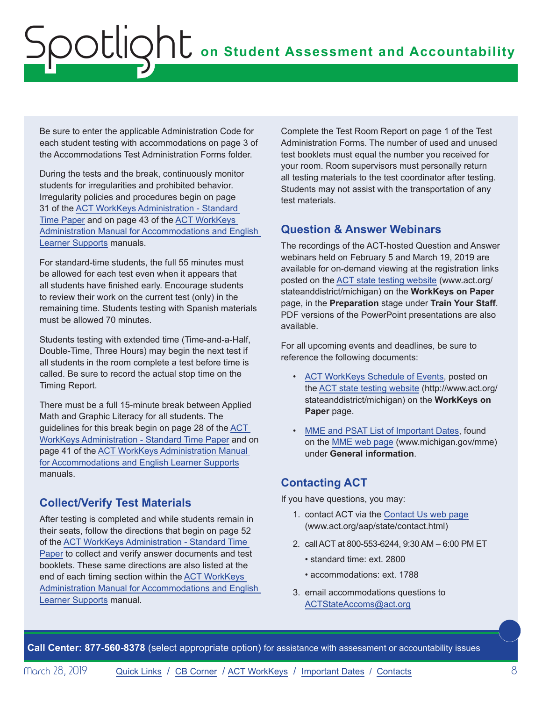Be sure to enter the applicable Administration Code for each student testing with accommodations on page 3 of the Accommodations Test Administration Forms folder.

During the tests and the break, continuously monitor students for irregularities and prohibited behavior. Irregularity policies and procedures begin on page 31 of the [ACT WorkKeys Administration - Standard](http://www.act.org/content/dam/act/secured/documents/pdfs/WK-Admin-SD-Std-Time-Paper-Secured.pdf)  [Time Paper](http://www.act.org/content/dam/act/secured/documents/pdfs/WK-Admin-SD-Std-Time-Paper-Secured.pdf) and on page 43 of the [ACT WorkKeys](http://www.act.org/content/dam/act/secured/documents/pdfs/WK-Admin-SD-Accoms-Secured.pdf)  [Administration Manual for Accommodations and English](http://www.act.org/content/dam/act/secured/documents/pdfs/WK-Admin-SD-Accoms-Secured.pdf)  [Learner Supports](http://www.act.org/content/dam/act/secured/documents/pdfs/WK-Admin-SD-Accoms-Secured.pdf) manuals.

For standard-time students, the full 55 minutes must be allowed for each test even when it appears that all students have finished early. Encourage students to review their work on the current test (only) in the remaining time. Students testing with Spanish materials must be allowed 70 minutes.

Students testing with extended time (Time-and-a-Half, Double-Time, Three Hours) may begin the next test if all students in the room complete a test before time is called. Be sure to record the actual stop time on the Timing Report.

There must be a full 15-minute break between Applied Math and Graphic Literacy for all students. The guidelines for this break begin on page 28 of the [ACT](http://www.act.org/content/dam/act/secured/documents/pdfs/WK-Admin-SD-Std-Time-Paper-Secured.pdf)  [WorkKeys Administration - Standard Time Paper](http://www.act.org/content/dam/act/secured/documents/pdfs/WK-Admin-SD-Std-Time-Paper-Secured.pdf) and on page 41 of the [ACT WorkKeys Administration Manual](http://www.act.org/content/dam/act/secured/documents/pdfs/WK-Admin-SD-Accoms-Secured.pdf)  [for Accommodations and English Learner Supports](http://www.act.org/content/dam/act/secured/documents/pdfs/WK-Admin-SD-Accoms-Secured.pdf) manuals.

## **Collect/Verify Test Materials**

After testing is completed and while students remain in their seats, follow the directions that begin on page 52 of the [ACT WorkKeys Administration - Standard Time](http://www.act.org/content/dam/act/secured/documents/pdfs/WK-Admin-SD-Std-Time-Paper-Secured.pdf)  [Paper](http://www.act.org/content/dam/act/secured/documents/pdfs/WK-Admin-SD-Std-Time-Paper-Secured.pdf) to collect and verify answer documents and test booklets. These same directions are also listed at the end of each timing section within the [ACT WorkKeys](http://www.act.org/content/dam/act/secured/documents/pdfs/WK-Admin-SD-Accoms-Secured.pdf)  [Administration Manual for Accommodations and English](http://www.act.org/content/dam/act/secured/documents/pdfs/WK-Admin-SD-Accoms-Secured.pdf)  [Learner Supports](http://www.act.org/content/dam/act/secured/documents/pdfs/WK-Admin-SD-Accoms-Secured.pdf) manual.

Complete the Test Room Report on page 1 of the Test Administration Forms. The number of used and unused test booklets must equal the number you received for your room. Room supervisors must personally return all testing materials to the test coordinator after testing. Students may not assist with the transportation of any test materials.

## **Question & Answer Webinars**

The recordings of the ACT-hosted Question and Answer webinars held on February 5 and March 19, 2019 are available for on-demand viewing at the registration links posted on the [ACT state testing website](http://www.act.org/stateanddistrict/michigan) (www.act.org/ stateanddistrict/michigan) on the **WorkKeys on Paper**  page, in the **Preparation** stage under **Train Your Staff**. PDF versions of the PowerPoint presentations are also available.

For all upcoming events and deadlines, be sure to reference the following documents:

- [ACT WorkKeys Schedule of Events](http://www.act.org/content/dam/act/unsecured/documents/ScheduleofEventsWorkKeys-MI.pdf), posted on the [ACT state testing website](http://www.act.org/stateanddistrict/michigan) (http://www.act.org/ stateanddistrict/michigan) on the **WorkKeys on Paper** page.
- [MME and PSAT List of Important Dates,](https://www.michigan.gov/documents/mde/MME_List_of_Important_Dates_634790_7.pdf) found on the [MME web page](www.michigan.gov/mme) (www.michigan.gov/mme) under **General information**.

# **Contacting ACT**

If you have questions, you may:

- 1. contact ACT via the [Contact Us web page](http://www.act.org/aap/state/contact.html) ([www.act.org/aap/state/contact.html\)](www.act.org/aap/state/contact.html)
- 2. call ACT at 800-553-6244, 9:30 AM 6:00 PM ET
	- standard time: ext. 2800
	- accommodations: ext. 1788
- 3. email accommodations questions to [ACTStateAccoms@act.org](mailto:ACTStateAccoms%40act.org?subject=)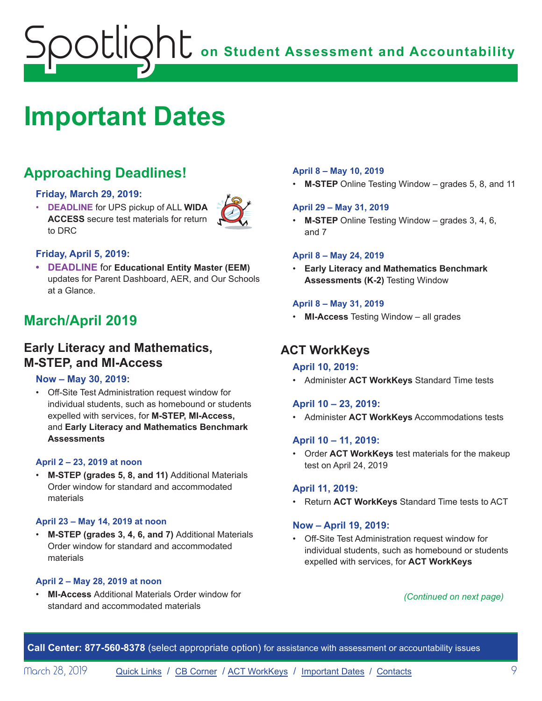# <span id="page-8-1"></span><span id="page-8-0"></span>**Important Dates**

# **Approaching Deadlines!**

### **Friday, March 29, 2019:**

• **DEADLINE** for UPS pickup of ALL **WIDA ACCESS** secure test materials for return to DRC



### **Friday, April 5, 2019:**

**• DEADLINE** for **Educational Entity Master (EEM)** updates for Parent Dashboard, AER, and Our Schools at a Glance.

# **March/April 2019**

# **Early Literacy and Mathematics, M-STEP, and MI-Access**

### **Now – May 30, 2019:**

• Off-Site Test Administration request window for individual students, such as homebound or students expelled with services, for **M-STEP, MI-Access,**  and **Early Literacy and Mathematics Benchmark Assessments**

### **April 2 – 23, 2019 at noon**

• **M-STEP (grades 5, 8, and 11)** Additional Materials Order window for standard and accommodated materials

### **April 23 – May 14, 2019 at noon**

• **M-STEP (grades 3, 4, 6, and 7)** Additional Materials Order window for standard and accommodated materials

### **April 2 – May 28, 2019 at noon**

• **MI-Access** Additional Materials Order window for standard and accommodated materials

### **April 8 – May 10, 2019**

• **M-STEP** Online Testing Window – grades 5, 8, and 11

### **April 29 – May 31, 2019**

• **M-STEP** Online Testing Window – grades 3, 4, 6, and 7

### **April 8 – May 24, 2019**

• **Early Literacy and Mathematics Benchmark Assessments (K-2)** Testing Window

### **April 8 – May 31, 2019**

• **MI-Access** Testing Window – all grades

## **ACT WorkKeys**

### **April 10, 2019:**

• Administer **ACT WorkKeys** Standard Time tests

### **April 10 – 23, 2019:**

• Administer **ACT WorkKeys** Accommodations tests

### **April 10 – 11, 2019:**

• Order **ACT WorkKeys** test materials for the makeup test on April 24, 2019

### **April 11, 2019:**

• Return **ACT WorkKeys** Standard Time tests to ACT

### **Now – April 19, 2019:**

• Off-Site Test Administration request window for individual students, such as homebound or students expelled with services, for **ACT WorkKeys**

### *(Continued on next page)*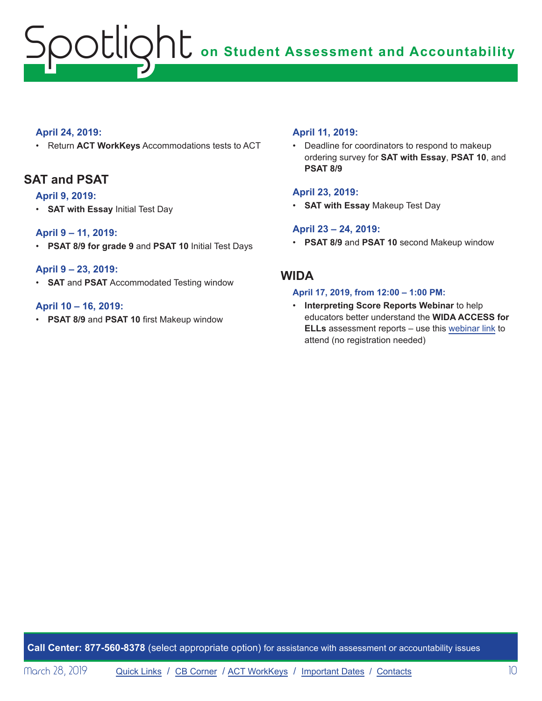### **April 24, 2019:**

• Return **ACT WorkKeys** Accommodations tests to ACT

## **SAT and PSAT**

### **April 9, 2019:**

• **SAT with Essay** Initial Test Day

### **April 9 – 11, 2019:**

• **PSAT 8/9 for grade 9** and **PSAT 10** Initial Test Days

### **April 9 – 23, 2019:**

• **SAT** and **PSAT** Accommodated Testing window

### **April 10 – 16, 2019:**

• **PSAT 8/9** and **PSAT 10** first Makeup window

### **April 11, 2019:**

• Deadline for coordinators to respond to makeup ordering survey for **SAT with Essay**, **PSAT 10**, and **PSAT 8/9**

### **April 23, 2019:**

• **SAT with Essay** Makeup Test Day

### **April 23 – 24, 2019:**

• **PSAT 8/9** and **PSAT 10** second Makeup window

## **WIDA**

### **April 17, 2019, from 12:00 – 1:00 PM:**

• **Interpreting Score Reports Webinar** to help educators better understand the **WIDA ACCESS for ELLs** assessment reports – use this webinar link to attend (no registration needed)